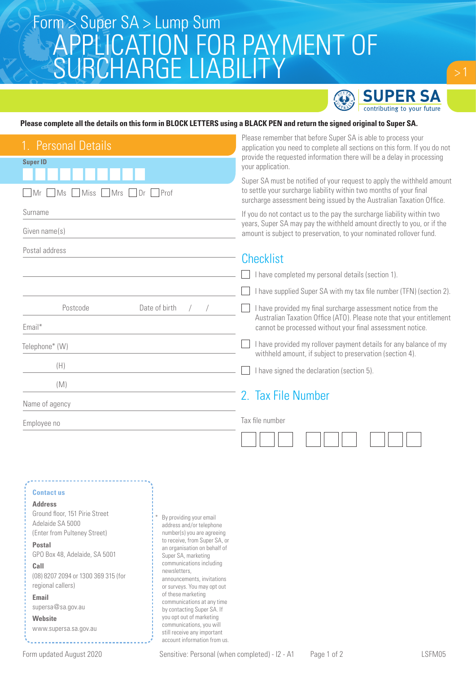# APPLICATION FOR PAYMENT OF SURCHARGE LIABILITY Form > Super SA > Lump Sum



### **Please complete all the details on this form in BLOCK LETTERS using a BLACK PEN and return the signed original to Super SA.**

| provide the requested information there will be a delay in processing<br>your application.                                                                                                                              |
|-------------------------------------------------------------------------------------------------------------------------------------------------------------------------------------------------------------------------|
| Super SA must be notified of your request to apply the withheld amount<br>to settle your surcharge liability within two months of your final<br>surcharge assessment being issued by the Australian Taxation Office.    |
| If you do not contact us to the pay the surcharge liability within two<br>years, Super SA may pay the withheld amount directly to you, or if the<br>amount is subject to preservation, to your nominated rollover fund. |
|                                                                                                                                                                                                                         |
| I have completed my personal details (section 1).                                                                                                                                                                       |
| I have supplied Super SA with my tax file number (TFN) (section 2).                                                                                                                                                     |
| I have provided my final surcharge assessment notice from the<br>Australian Taxation Office (ATO). Please note that your entitlement<br>cannot be processed without your final assessment notice.                       |
| I have provided my rollover payment details for any balance of my<br>withheld amount, if subject to preservation (section 4).                                                                                           |
| I have signed the declaration (section 5).                                                                                                                                                                              |
|                                                                                                                                                                                                                         |
| 2. Tax File Number                                                                                                                                                                                                      |
|                                                                                                                                                                                                                         |
|                                                                                                                                                                                                                         |
|                                                                                                                                                                                                                         |
|                                                                                                                                                                                                                         |
|                                                                                                                                                                                                                         |
|                                                                                                                                                                                                                         |
|                                                                                                                                                                                                                         |
|                                                                                                                                                                                                                         |

still receive any important account information from us.